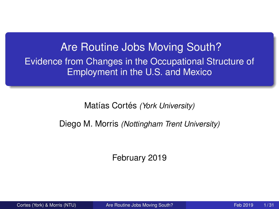<span id="page-0-0"></span>Are Routine Jobs Moving South? Evidence from Changes in the Occupational Structure of Employment in the U.S. and Mexico

Matías Cortés *(York University)* 

Diego M. Morris *(Nottingham Trent University)*

February 2019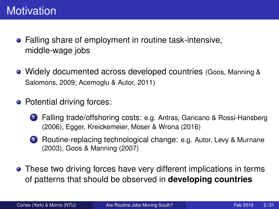- Falling share of employment in routine task-intensive, middle-wage jobs
- Widely documented across developed countries (Goos, Manning & Salomons, 2009; Acemoglu & Autor, 2011)
- Potential driving forces:
	- <sup>1</sup> Falling trade/offshoring costs: e.g. Antras, Garicano & Rossi-Hansberg (2006), Egger, Kreickemeier, Moser & Wrona (2016)
	- 2 Routine-replacing technological change: e.g. Autor, Levy & Murnane (2003), Goos & Manning (2007)
- These two driving forces have very different implications in terms of patterns that should be observed in **developing countries**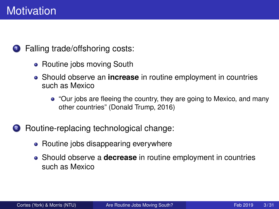**1** Falling trade/offshoring costs:

- Routine jobs moving South
- Should observe an **increase** in routine employment in countries such as Mexico
	- "Our jobs are fleeing the country, they are going to Mexico, and many other countries" (Donald Trump, 2016)
- <sup>2</sup> Routine-replacing technological change:
	- Routine jobs disappearing everywhere
	- Should observe a **decrease** in routine employment in countries such as Mexico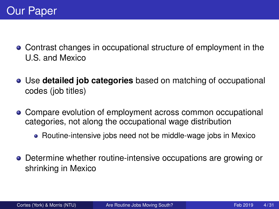- Contrast changes in occupational structure of employment in the U.S. and Mexico
- Use **detailed job categories** based on matching of occupational codes (job titles)
- Compare evolution of employment across common occupational categories, not along the occupational wage distribution
	- Routine-intensive jobs need not be middle-wage jobs in Mexico
- **•** Determine whether routine-intensive occupations are growing or shrinking in Mexico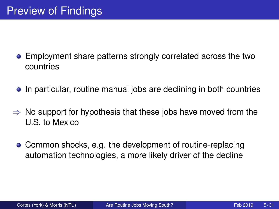- Employment share patterns strongly correlated across the two countries
- In particular, routine manual jobs are declining in both countries
- $\Rightarrow$  No support for hypothesis that these jobs have moved from the U.S. to Mexico
	- Common shocks, e.g. the development of routine-replacing automation technologies, a more likely driver of the decline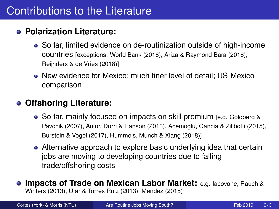## Contributions to the Literature

#### **Polarization Literature:**

- So far, limited evidence on de-routinization outside of high-income countries [exceptions: World Bank (2016), Ariza & Raymond Bara (2018), Reijnders & de Vries (2018)]
- New evidence for Mexico; much finer level of detail; US-Mexico comparison

#### **Offshoring Literature:**

- So far, mainly focused on impacts on skill premium [e.g. Goldberg & Pavcnik (2007), Autor, Dorn & Hanson (2013), Acemoglu, Gancia & Zilibotti (2015), Burstein & Vogel (2017), Hummels, Munch & Xiang (2018)]
- Alternative approach to explore basic underlying idea that certain jobs are moving to developing countries due to falling trade/offshoring costs
- **Impacts of Trade on Mexican Labor Market:** e.g. Iacovone, Rauch & Winters (2013), Utar & Torres Ruiz (2013), Mendez (2015)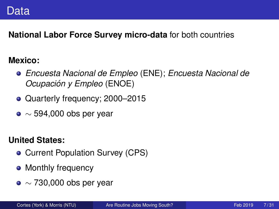**National Labor Force Survey micro-data** for both countries

#### **Mexico:**

- *Encuesta Nacional de Empleo* (ENE); *Encuesta Nacional de Ocupacion y Empleo ´* (ENOE)
- Quarterly frequency; 2000-2015
- $\bullet \sim 594,000$  obs per year

#### **United States:**

- Current Population Survey (CPS)
- Monthly frequency
- $\bullet \sim 730,000$  obs per year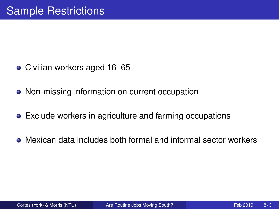- Civilian workers aged 16–65
- Non-missing information on current occupation
- Exclude workers in agriculture and farming occupations
- Mexican data includes both formal and informal sector workers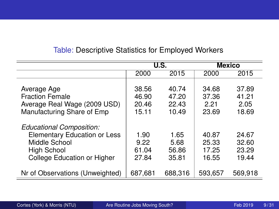|                                                                                                                                | U.S.                             |                                  | <b>Mexico</b>                    |                                  |
|--------------------------------------------------------------------------------------------------------------------------------|----------------------------------|----------------------------------|----------------------------------|----------------------------------|
|                                                                                                                                | 2000                             | 2015                             | 2000                             | 2015                             |
| Average Age<br><b>Fraction Female</b><br>Average Real Wage (2009 USD)<br>Manufacturing Share of Emp                            | 38.56<br>46.90<br>20.46<br>15.11 | 40.74<br>47.20<br>22.43<br>10.49 | 34.68<br>37.36<br>2.21<br>23.69  | 37.89<br>41.21<br>2.05<br>18.69  |
| Educational Composition:<br>Elementary Education or Less<br>Middle School<br><b>High School</b><br>College Education or Higher | 1.90<br>9.22<br>61.04<br>27.84   | 1.65<br>5.68<br>56.86<br>35.81   | 40.87<br>25.33<br>17.25<br>16.55 | 24.67<br>32.60<br>23.29<br>19.44 |
| Nr of Observations (Unweighted)                                                                                                | 687,681                          | 688,316                          | 593,657                          | 569,918                          |

#### Table: Descriptive Statistics for Employed Workers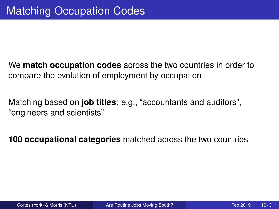We **match occupation codes** across the two countries in order to compare the evolution of employment by occupation

Matching based on **job titles**: e.g., "accountants and auditors", "engineers and scientists"

**100 occupational categories** matched across the two countries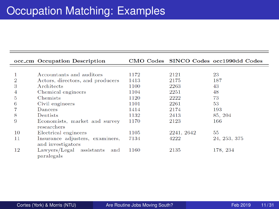|                | occ_cm Occupation Description                        |      |            | CMO Codes SINCO Codes occ1990dd Codes |
|----------------|------------------------------------------------------|------|------------|---------------------------------------|
|                |                                                      |      |            |                                       |
|                | Accountants and auditors                             | 1172 | 2121       | 23                                    |
| $\overline{2}$ | Actors, directors, and producers                     | 1413 | 2175       | 187                                   |
| 3              | Architects                                           | 1100 | 2263       | 43                                    |
| $\overline{4}$ | Chemical engineers                                   | 1104 | 2251       | 48                                    |
| 5              | Chemists                                             | 1120 | 2222       | 73                                    |
| 6              | Civil engineers                                      | 1101 | 2261       | 53                                    |
|                | Dancers                                              | 1414 | 2174       | 193                                   |
| 8              | Dentists                                             | 1132 | 2413       | 85, 204                               |
| 9              | Economists, market and survey<br>researchers         | 1170 | 2123       | 166                                   |
| 10             | Electrical engineers                                 | 1105 | 2241, 2642 | 55                                    |
| 11             | Insurance adjusters, examiners,<br>and investigators | 7134 | 4222       | 24, 253, 375                          |
| 12             | Lawyers/Legal assistants<br>and<br>paralegals        | 1160 | 2135       | 178, 234                              |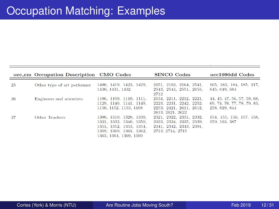|     | occ_cm Occupation Description CMO Codes |                                                                                                                                    | <b>SINCO</b> Codes                                                                                                    | occ1990dd Codes                                                             |
|-----|-----------------------------------------|------------------------------------------------------------------------------------------------------------------------------------|-----------------------------------------------------------------------------------------------------------------------|-----------------------------------------------------------------------------|
| 25  | Other type of art performer             | 1400, 1419, 1423, 1429,<br>1430, 1431, 1432                                                                                        | 2151, 2162, 2164, 2541,<br>2543, 2544, 2551, 2655,<br>2712                                                            | 165, 183, 184, 185, 217,<br>645, 649, 684                                   |
| -26 | Engineers and scientists                | 1106, 1109, 1110, 1111,<br>1129, 1140, 1141, 1149,<br>1150, 1152, 1153, 1168                                                       | 2134, 2211, 2212, 2221,<br>2223, 2231, 2242, 2252.<br>2253, 2421, 2611, 2612.                                         | 44, 45, 47, 56, 57, 59, 68,<br>69, 74, 76, 77, 78, 79, 83,<br>258, 829, 844 |
| 27  | Other Teachers                          | 1300, 1310, 1320, 1330,<br>1331, 1332, 1340, 1350,<br>1351, 1352, 1353, 1354,<br>1359, 1360, 1361, 1362,<br>1363, 1364, 1369, 1390 | 2613, 2621, 2622<br>2321, 2322, 2331, 2332.<br>2333, 2334, 2335, 2339,<br>2341, 2342, 2343, 2391,<br>2713, 2714, 2715 | 154, 155, 156, 157, 158,<br>159, 163, 387                                   |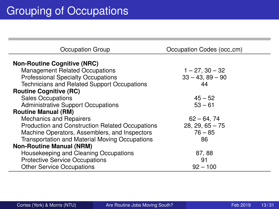| Occupation Group                                | Occupation Codes (occ_cm) |
|-------------------------------------------------|---------------------------|
| <b>Non-Routine Cognitive (NRC)</b>              |                           |
| <b>Management Related Occupations</b>           | $1 - 27$ , $30 - 32$      |
| <b>Professional Specialty Occupations</b>       | $33 - 43.89 - 90$         |
| Technicians and Related Support Occupations     | 44                        |
| <b>Routine Cognitive (RC)</b>                   |                           |
| <b>Sales Occupations</b>                        | $45 - 52$                 |
| <b>Administrative Support Occupations</b>       | $53 - 61$                 |
| <b>Routine Manual (RM)</b>                      |                           |
| <b>Mechanics and Repairers</b>                  | $62 - 64, 74$             |
| Production and Construction Related Occupations | $28, 29, 65 - 75$         |
| Machine Operators, Assemblers, and Inspectors   | $76 - 85$                 |
| Transportation and Material Moving Occupations  | 86                        |
| <b>Non-Routine Manual (NRM)</b>                 |                           |
| Housekeeping and Cleaning Occupations           | 87, 88                    |
| <b>Protective Service Occupations</b>           | 91                        |
| <b>Other Service Occupations</b>                | $92 - 100$                |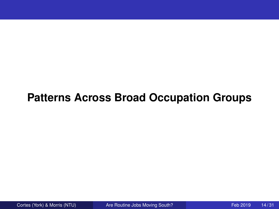## **Patterns Across Broad Occupation Groups**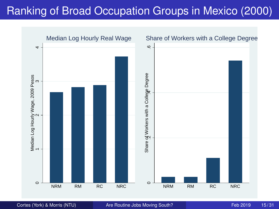# Ranking of Broad Occupation Groups in Mexico (2000)



Cortes (York) & Morris (NTU) [Are Routine Jobs Moving South?](#page-0-0) Feb 2019 15/31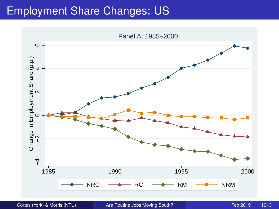#### Employment Share Changes: US

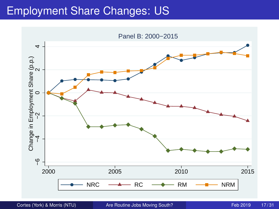#### Employment Share Changes: US



Cortes (York) & Morris (NTU) [Are Routine Jobs Moving South?](#page-0-0) Feb 2019 17/31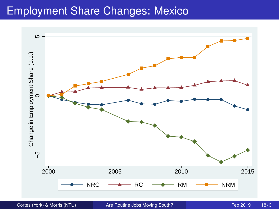#### Employment Share Changes: Mexico

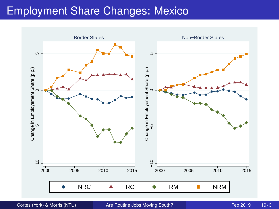#### Employment Share Changes: Mexico



Cortes (York) & Morris (NTU) [Are Routine Jobs Moving South?](#page-0-0) Feb 2019 19/31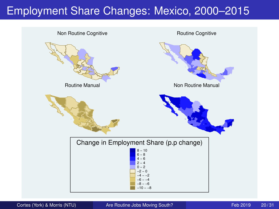## Employment Share Changes: Mexico, 2000–2015

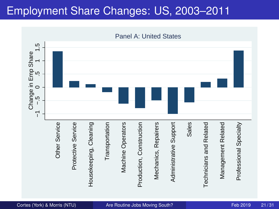## Employment Share Changes: US, 2003–2011

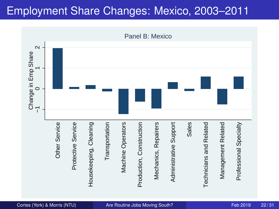## Employment Share Changes: Mexico, 2003–2011

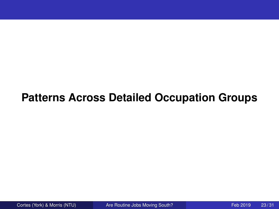## **Patterns Across Detailed Occupation Groups**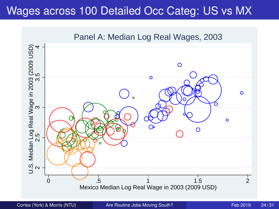#### Wages across 100 Detailed Occ Categ: US vs MX



Cortes (York) & Morris (NTU) [Are Routine Jobs Moving South?](#page-0-0) Feb 2019 24/31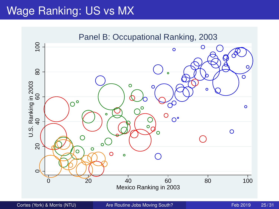## Wage Ranking: US vs MX



Cortes (York) & Morris (NTU) [Are Routine Jobs Moving South?](#page-0-0) Feb 2019 25/31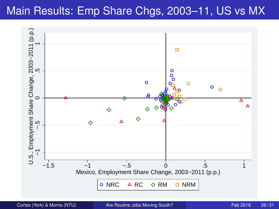## Main Results: Emp Share Chgs, 2003–11, US vs MX



Cortes (York) & Morris (NTU) [Are Routine Jobs Moving South?](#page-0-0) Feb 2019 26/31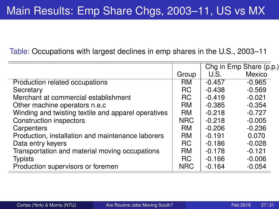Table: Occupations with largest declines in emp shares in the U.S., 2003–11

|                                                     |            |          | Chg in Emp Share (p.p.) |
|-----------------------------------------------------|------------|----------|-------------------------|
|                                                     | Group      | U.S.     | Mexico                  |
| Production related occupations                      | <b>RM</b>  | $-0.457$ | $-0.965$                |
| Secretary                                           | RC.        | $-0.438$ | $-0.569$                |
| Merchant at commercial establishment                | <b>RC</b>  | $-0.419$ | $-0.021$                |
| Other machine operators n.e.c.                      | <b>RM</b>  | $-0.385$ | $-0.354$                |
| Winding and twisting textile and apparel operatives | <b>RM</b>  | $-0.218$ | $-0.727$                |
| <b>Construction inspectors</b>                      | <b>NRC</b> | $-0.218$ | $-0.005$                |
| Carpenters                                          | <b>RM</b>  | $-0.206$ | $-0.236$                |
| Production, installation and maintenance laborers   | <b>RM</b>  | $-0.191$ | 0.070                   |
| Data entry keyers                                   | RC.        | $-0.186$ | $-0.028$                |
| Transportation and material moving occupations      | <b>RM</b>  | $-0.178$ | $-0.121$                |
| <b>Typists</b>                                      | RC.        | $-0.166$ | $-0.006$                |
| Production supervisors or foremen                   | <b>NRC</b> | $-0.164$ | $-0.054$                |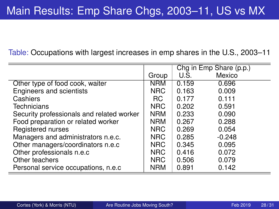Table: Occupations with largest increases in emp shares in the U.S., 2003–11

|                                           |            | Chg in Emp Share (p.p.) |          |
|-------------------------------------------|------------|-------------------------|----------|
|                                           | Group      | U.S.                    | Mexico   |
| Other type of food cook, waiter           | <b>NRM</b> | 0.159                   | 0.696    |
| Engineers and scientists                  | <b>NRC</b> | 0.163                   | 0.009    |
| Cashiers                                  | RC.        | 0.177                   | 0.111    |
| Technicians                               | NRC        | 0.202                   | 0.591    |
| Security professionals and related worker | <b>NRM</b> | 0.233                   | 0.090    |
| Food preparation or related worker        | <b>NRM</b> | 0.267                   | 0.288    |
| Registered nurses                         | NRC        | 0.269                   | 0.054    |
| Managers and administrators n.e.c.        | <b>NRC</b> | 0.285                   | $-0.248$ |
| Other managers/coordinators n.e.c         | <b>NRC</b> | 0.345                   | 0.095    |
| Other professionals n.e.c                 | <b>NRC</b> | 0.416                   | 0.072    |
| Other teachers                            | <b>NRC</b> | 0.506                   | 0.079    |
| Personal service occupations, n.e.c.      | <b>NRM</b> | 0.891                   | 0.142    |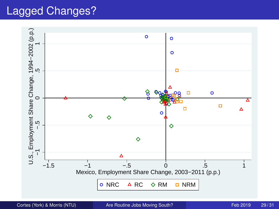#### Lagged Changes?

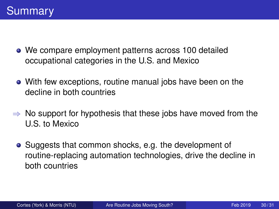- We compare employment patterns across 100 detailed occupational categories in the U.S. and Mexico
- With few exceptions, routine manual jobs have been on the decline in both countries
- $\Rightarrow$  No support for hypothesis that these jobs have moved from the U.S. to Mexico
	- Suggests that common shocks, e.g. the development of routine-replacing automation technologies, drive the decline in both countries